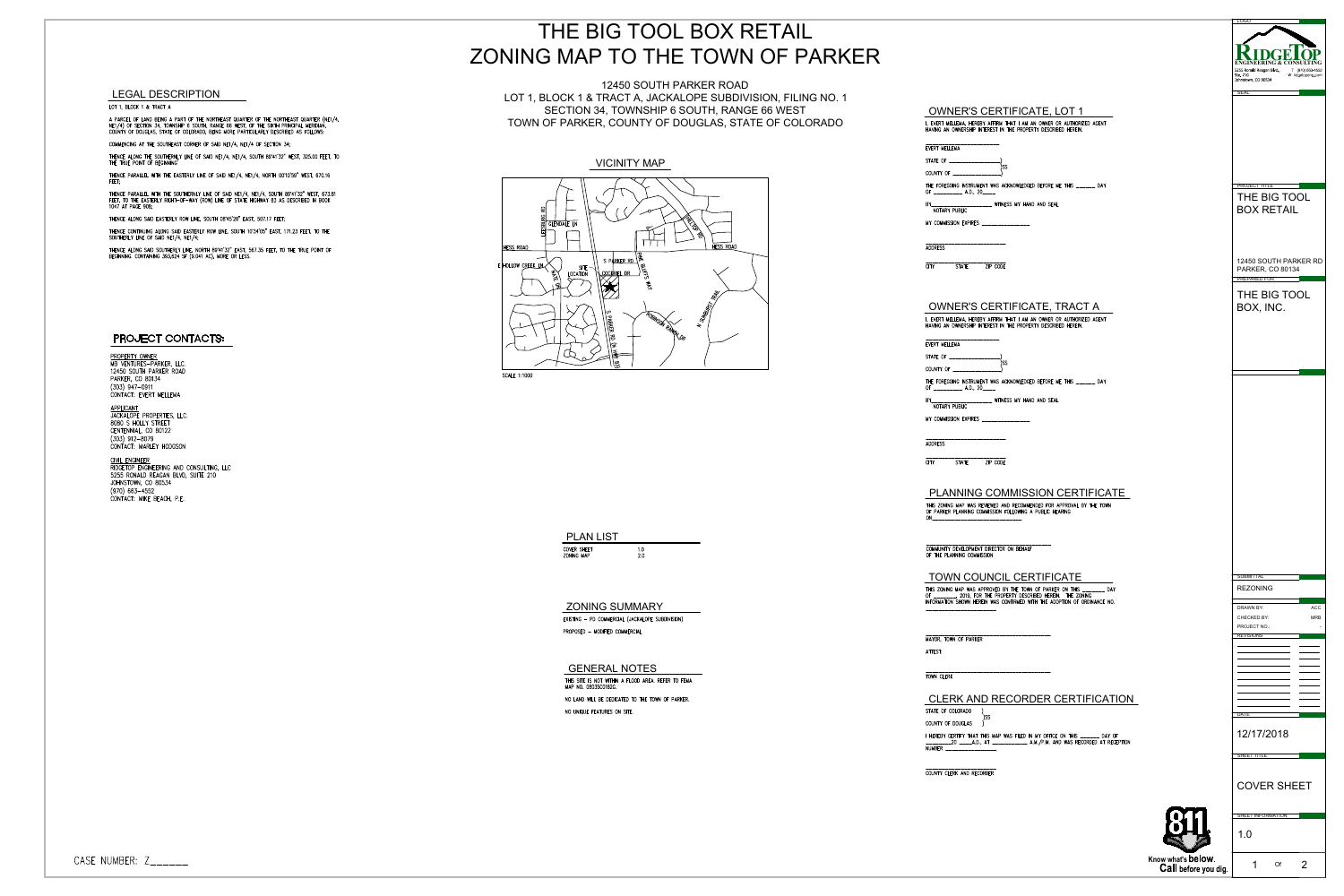

| <b>PLAN LIST</b>          |           |  |
|---------------------------|-----------|--|
| :OVER SHEET<br>ONING MAP' | 1 O<br>20 |  |



|                                                                                                                                                                                                                                                                                                                                                                                                                                                                                                                                                                                                                                                                                                                                                                                                                                                                                  | THE BIG TOOL BOX RETAIL                                                                                                                                                                                                                                                                                                                                              |                                                                                                                                                                                                                                                                                                                                                                                                                                                                                                                                                                                                                                                                                                                                                        | <b>LOGO</b>                                                                                                                                                                                                                                              |
|----------------------------------------------------------------------------------------------------------------------------------------------------------------------------------------------------------------------------------------------------------------------------------------------------------------------------------------------------------------------------------------------------------------------------------------------------------------------------------------------------------------------------------------------------------------------------------------------------------------------------------------------------------------------------------------------------------------------------------------------------------------------------------------------------------------------------------------------------------------------------------|----------------------------------------------------------------------------------------------------------------------------------------------------------------------------------------------------------------------------------------------------------------------------------------------------------------------------------------------------------------------|--------------------------------------------------------------------------------------------------------------------------------------------------------------------------------------------------------------------------------------------------------------------------------------------------------------------------------------------------------------------------------------------------------------------------------------------------------------------------------------------------------------------------------------------------------------------------------------------------------------------------------------------------------------------------------------------------------------------------------------------------------|----------------------------------------------------------------------------------------------------------------------------------------------------------------------------------------------------------------------------------------------------------|
|                                                                                                                                                                                                                                                                                                                                                                                                                                                                                                                                                                                                                                                                                                                                                                                                                                                                                  | ZONING MAP TO THE TOWN OF PARKER                                                                                                                                                                                                                                                                                                                                     |                                                                                                                                                                                                                                                                                                                                                                                                                                                                                                                                                                                                                                                                                                                                                        | ENGINEERING & CONSULTIN<br>5255 Ronald Reagan Blvd.,<br>T (970) 663-4552                                                                                                                                                                                 |
| <b>LEGAL DESCRIPTION</b><br>OT 1, BLOCK 1 & TRACT A<br>PARCEL OF LAND BEING A PART OF THE NORTHEAST QUARTER OF THE NORTHEAST QUARTER (NE1/4,<br>[1/4) OF SECTION 34, TOWNSHIP 6 SOUTH, RANGE 66 WEST, OF THE SIXTH PRINCIPAL MERIDIAN,<br>JUNTY OF DOUGLAS, STATE OF COLORADO, BEING MORE P                                                                                                                                                                                                                                                                                                                                                                                                                                                                                                                                                                                      | 12450 SOUTH PARKER ROAD<br>LOT 1, BLOCK 1 & TRACT A, JACKALOPE SUBDIVISION, FILING NO. 1<br>SECTION 34, TOWNSHIP 6 SOUTH, RANGE 66 WEST<br>TOWN OF PARKER, COUNTY OF DOUGLAS, STATE OF COLORADO                                                                                                                                                                      | <b>OWNER'S CERTIFICATE, LOT 1</b><br>I, EVERT MELLEMA, HEREBY AFFIRM THAT I AM AN OWNER OR AUTHORIZED AGENT<br>HAVING AN OWNERSHIP INTEREST IN THE PROPERTY DESCRIBED HEREIN.                                                                                                                                                                                                                                                                                                                                                                                                                                                                                                                                                                          | Ste. 210<br>W ridgetopeng.com<br>Johnstown, CO 80534                                                                                                                                                                                                     |
| DMMENCING AT THE SOUTHEAST CORNER OF SAID NE1/4, NE1/4 OF SECTION 34;<br>HENCE ALONG THE SOUTHERNLY LINE OF SAID NE1/4, NE1/4, SOUTH 89°41'32" WEST, 325.00 FEET, TO<br>HE TRUE POINT OF BEGINNING'<br>IENCE PARALLEL WITH THE EASTERLY LINE OF SAID NE1/4, NE1/4, NORTH 00*10'59" WEST, 670.16<br>HENCE PARALLEL WITH THE SOUTHERNLY LINE OF SAID NE1/4, NE1/4, SOUTH 89°41'32" WEST, 673.81<br>EET, TO THE EASTERLY RIGHT-OF-WAY (ROW) LINE OF STATE HIGHWAY 83 AS DESCRIBED IN BOOK<br>147 AT PAGE 908;<br>IENCE ALONG SAID EASTERLY ROW LINE, SOUTH 08°45'20" EAST, 507.17 FEET;<br>HENCE CONTINUING ALONG SAID EASTERLY ROW LINE, SOUTH 10°34'05" EAST, 171.23 FEET, TO THE<br>JUTHERLY LINE OF SAID NE1/4, NE1/4;<br>HENCE ALONG SAID SOUTHERLY LINE, NORTH 89°41'32" EAST, 567.35 FEET, TO THE TRUE POINT OF<br>EGINNING. CONTAINING 393,624 SF (9.041 AC), MORE OR LESS. | <b>VICINITY MAP</b><br><b>GLENDALE LN</b><br><b>HESS ROAD</b><br><b>HESS ROAD</b><br>SPARKERRD<br>$\epsilon$ HOLLOW CREEK LN<br>SITE<br>LOCATION<br><u> LCOCKRIEL DR</u>                                                                                                                                                                                             | EVERT MELLEMA<br>STATE OF ______________<br>COUNTY OF _________________)<br>THE FOREGOING INSTRUMENT WAS ACKNOWLEDGED BEFORE ME THIS ______ DAY<br>OF ______________ A.D., 20_____<br>BY_______________________ WITNESS MY HAND AND SEAL<br>NOTARY PUBLIC<br>MY COMMISSION EXPIRES _________________<br><b>ADDRESS</b><br>STATE ZIP CODE<br><b>STATE</b><br>CITY                                                                                                                                                                                                                                                                                                                                                                                       | <b>PROJECT TITLE</b><br>THE BIG TOOL<br><b>BOX RETAIL</b><br>12450 SOUTH PARKER RD<br><b>PARKER, CO 80134</b><br><b>PREPARED FOR</b>                                                                                                                     |
| PROJECT CONTACTS:<br>ROPERTY OWNER<br><b>IB VENTURES-PARKER, LLC.</b><br>2450 SOUTH PARKER ROAD<br>ARKER, CO 80134<br>303) 947-0911<br>ONTACT: EVERT MELLEMA<br><u>PPLICANT</u><br>ACKALOPE PROPERTIES, LLC.<br>080 S HOLLY STREET<br>ENTENNIAL, CO 80122<br>303) 912–8079<br>CONTACT: MARLEY HODGSON<br><u>I'VIL ENGINEER</u><br>IIDGETOP ENGINEERING AND CONSULTING, LLC<br>255 RONALD REAGAN BLVD, SUITE 210<br>OHNSTOWN, CO 80534<br>970) 663-4552<br>ONTACT: MIKE BEACH, P.E.                                                                                                                                                                                                                                                                                                                                                                                               | <b>SCALE 1:1000</b>                                                                                                                                                                                                                                                                                                                                                  | OWNER'S CERTIFICATE, TRACT A<br>I, EVERT MELLEMA, HEREBY AFFIRM THAT I AM AN OWNER OR AUTHORIZED AGENT<br>HAVING AN OWNERSHIP INTEREST IN THE PROPERTY DESCRIBED HEREIN.<br>________________________<br>EVERT MELLEMA<br>STATE OF _________________<br>COUNTY OF ______________<br>THE FOREGOING INSTRUMENT WAS ACKNOWLEDGED BEFORE ME THIS ______ DAY<br>OF _____________ A.D., 20_____<br>BY________________________ WITNESS MY HAND AND SEAL<br>NOTARY PUBLIC<br>MY COMMISSION EXPIRES<br>-------------------------<br><b>ADDRESS</b><br>ZIP CODE<br>STATE<br>CITY .<br><b>PLANNING COMMISSION CERTIFICATE</b><br>THIS ZONING MAP WAS REVIEWED AND RECOMMENDED FOR APPROVAL BY THE TOWN<br>OF PARKER PLANNING COMMISSION FOLLOWING A PUBLIC HEARING | THE BIG TOOL<br>BOX, INC.                                                                                                                                                                                                                                |
|                                                                                                                                                                                                                                                                                                                                                                                                                                                                                                                                                                                                                                                                                                                                                                                                                                                                                  | <b>PLAN LIST</b><br>1.0<br>COVER SHEET<br>2.0<br>ZONING MAP<br><b>ZONING SUMMARY</b><br>EXISTING - PD COMMERCIAL (JACKALOPE SUBDIVISION)<br>PROPOSED - MODIFIED COMMERCIAL<br><b>GENERAL NOTES</b><br>THIS SITE IS NOT WITHIN A FLOOD AREA. REFER TO FEMA<br>MAP NO. 08035C0182G.<br>NO LAND WILL BE DEDICATED TO THE TOWN OF PARKER.<br>NO UNIQUE FEATURES ON SITE. | COMMUNITY DEVELOPMENT DIRECTOR ON BEHALF<br>OF THE PLANNING COMMISSION<br>TOWN COUNCIL CERTIFICATE<br>THIS ZONING MAP WAS APPROVED BY THE TOWN OF PARKER ON THIS _______ DAY<br>OF ________, 2019, FOR THE PROPERTY DESCRIBED HEREIN. THE ZONING<br>INFORMATION SHOWN HEREIN WAS CONFIRMED WITH THE ADOPTION OF ORDINANCE NO.<br>-----------------------<br>MAYOR, TOWN OF PARKER<br>ATTEST:<br>TOWN CLERK<br>CLERK AND RECORDER CERTIFICATION<br>STATE OF COLORADO<br>COUNTY OF DOUGLAS<br>I HEREBY CERTIFY THAT THIS MAP WAS FILED IN MY OFFICE ON THIS ______ DAY OF<br>NUMBER _________________                                                                                                                                                    | <b>SUBMITTAI</b><br><b>REZONING</b><br>$\mathsf{ACC}$<br><b>DRAWN BY:</b><br><b>MRB</b><br><b>CHECKED BY:</b><br>PROJECT NO.:<br><b>REVISIONS</b><br>and the control of the control of<br>and the control of the control of<br><b>DATE</b><br>12/17/2018 |
| MBER: Z______                                                                                                                                                                                                                                                                                                                                                                                                                                                                                                                                                                                                                                                                                                                                                                                                                                                                    |                                                                                                                                                                                                                                                                                                                                                                      | COUNTY CLERK AND RECORDER                                                                                                                                                                                                                                                                                                                                                                                                                                                                                                                                                                                                                                                                                                                              | SHEET TITLE<br><b>COVER SHEET</b><br>SHEET INFORMATION<br>1.0<br>Know what's below.<br>Of<br>Call before you dig.                                                                                                                                        |